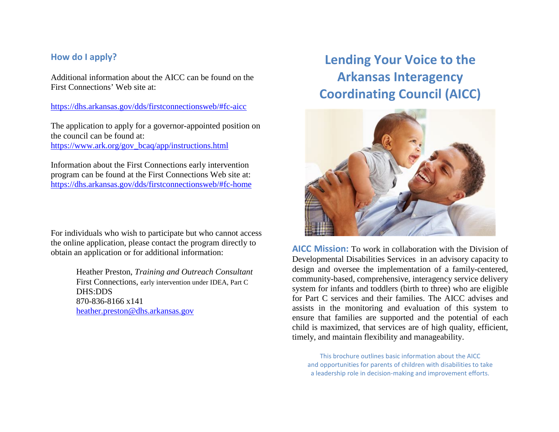## **How do I apply?**

Additional information about the AICC can be found on the First Connections' Web site at:

<https://dhs.arkansas.gov/dds/firstconnectionsweb/#fc-aicc>

The application to apply for a governor-appointed position on the council can be found at: [https://www.ark.org/gov\\_bcaq/app/instructions.html](https://www.ark.org/gov_bcaq/app/instructions.html)

Information about the First Connections early intervention program can be found at the First Connections Web site at: <https://dhs.arkansas.gov/dds/firstconnectionsweb/#fc-home>

For individuals who wish to participate but who cannot access the online application, please contact the program directly to obtain an application or for additional information:

> Heather Preston, *Training and Outreach Consultant* First Connections, early intervention under IDEA, Part C DHS:DDS 870-836-8166 x141 [heather.preston@dhs.arkansas.gov](mailto:heather.preston@dhs.arkansas.gov)

# **Lending Your Voice to the Arkansas Interagency Coordinating Council (AICC)**



**AICC Mission:** To work in collaboration with the Division of Developmental Disabilities Services in an advisory capacity to design and oversee the implementation of a family-centered, community-based, comprehensive, interagency service delivery system for infants and toddlers (birth to three) who are eligible for Part C services and their families. The AICC advises and assists in the monitoring and evaluation of this system to ensure that families are supported and the potential of each child is maximized, that services are of high quality, efficient, timely, and maintain flexibility and manageability.

This brochure outlines basic information about the AICC and opportunities for parents of children with disabilities to take a leadership role in decision-making and improvement efforts.